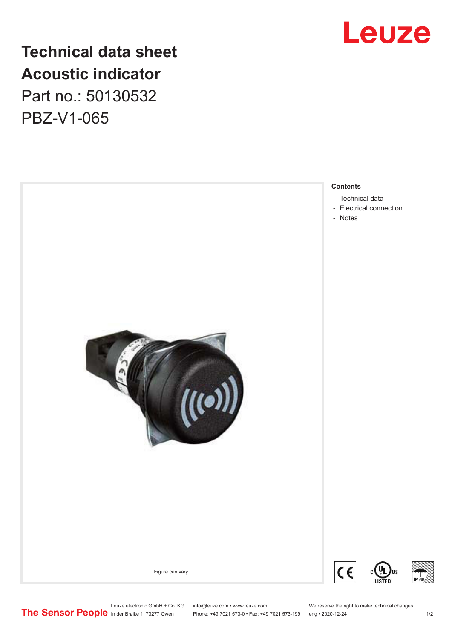

## **Technical data sheet Acoustic indicator** Part no.: 50130532

PBZ-V1-065



Leuze electronic GmbH + Co. KG info@leuze.com • www.leuze.com We reserve the right to make technical changes<br>
The Sensor People in der Braike 1, 73277 Owen Phone: +49 7021 573-0 • Fax: +49 7021 573-199 eng • 2020-12-24

Phone: +49 7021 573-0 • Fax: +49 7021 573-199 eng • 2020-12-24 1 2